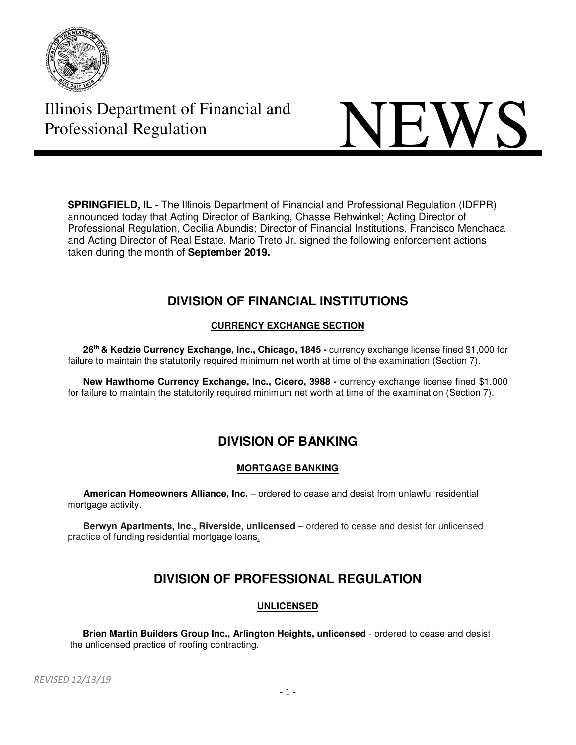



**SPRINGFIELD, IL** - The Illinois Department of Financial and Professional Regulation (IDFPR) announced today that Acting Director of Banking, Chasse Rehwinkel; Acting Director of Professional Regulation, Cecilia Abundis; Director of Financial Institutions, Francisco Menchaca and Acting Director of Real Estate, Mario Treto Jr. signed the following enforcement actions taken during the month of **September 2019.** 

# **DIVISION OF FINANCIAL INSTITUTIONS**

## **CURRENCY EXCHANGE SECTION**

 **26th & Kedzie Currency Exchange, Inc., Chicago, 1845 -** currency exchange license fined \$1,000 for failure to maintain the statutorily required minimum net worth at time of the examination (Section 7).

**New Hawthorne Currency Exchange, Inc., Cicero, 3988 - currency exchange license fined \$1,000** for failure to maintain the statutorily required minimum net worth at time of the examination (Section 7).

# **DIVISION OF BANKING**

### **MORTGAGE BANKING**

 **American Homeowners Alliance, Inc.** – ordered to cease and desist from unlawful residential mortgage activity.

 **Berwyn Apartments, Inc., Riverside, unlicensed** – ordered to cease and desist for unlicensed practice of funding residential mortgage loans.

# **DIVISION OF PROFESSIONAL REGULATION**

### **UNLICENSED**

 **Brien Martin Builders Group Inc., Arlington Heights, unlicensed** - ordered to cease and desist the unlicensed practice of roofing contracting.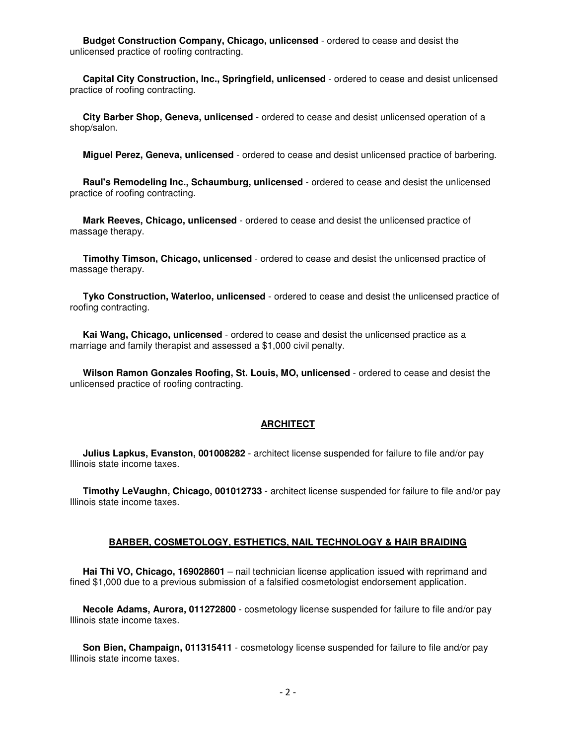**Budget Construction Company, Chicago, unlicensed** - ordered to cease and desist the unlicensed practice of roofing contracting.

 **Capital City Construction, Inc., Springfield, unlicensed** - ordered to cease and desist unlicensed practice of roofing contracting.

 **City Barber Shop, Geneva, unlicensed** - ordered to cease and desist unlicensed operation of a shop/salon.

**Miguel Perez, Geneva, unlicensed** - ordered to cease and desist unlicensed practice of barbering.

 **Raul's Remodeling Inc., Schaumburg, unlicensed** - ordered to cease and desist the unlicensed practice of roofing contracting.

 **Mark Reeves, Chicago, unlicensed** - ordered to cease and desist the unlicensed practice of massage therapy.

 **Timothy Timson, Chicago, unlicensed** - ordered to cease and desist the unlicensed practice of massage therapy.

 **Tyko Construction, Waterloo, unlicensed** - ordered to cease and desist the unlicensed practice of roofing contracting.

 **Kai Wang, Chicago, unlicensed** - ordered to cease and desist the unlicensed practice as a marriage and family therapist and assessed a \$1,000 civil penalty.

 **Wilson Ramon Gonzales Roofing, St. Louis, MO, unlicensed** - ordered to cease and desist the unlicensed practice of roofing contracting.

#### **ARCHITECT**

 **Julius Lapkus, Evanston, 001008282** - architect license suspended for failure to file and/or pay Illinois state income taxes.

 **Timothy LeVaughn, Chicago, 001012733** - architect license suspended for failure to file and/or pay Illinois state income taxes.

#### **BARBER, COSMETOLOGY, ESTHETICS, NAIL TECHNOLOGY & HAIR BRAIDING**

 **Hai Thi VO, Chicago, 169028601** – nail technician license application issued with reprimand and fined \$1,000 due to a previous submission of a falsified cosmetologist endorsement application.

 **Necole Adams, Aurora, 011272800** - cosmetology license suspended for failure to file and/or pay Illinois state income taxes.

 **Son Bien, Champaign, 011315411** - cosmetology license suspended for failure to file and/or pay Illinois state income taxes.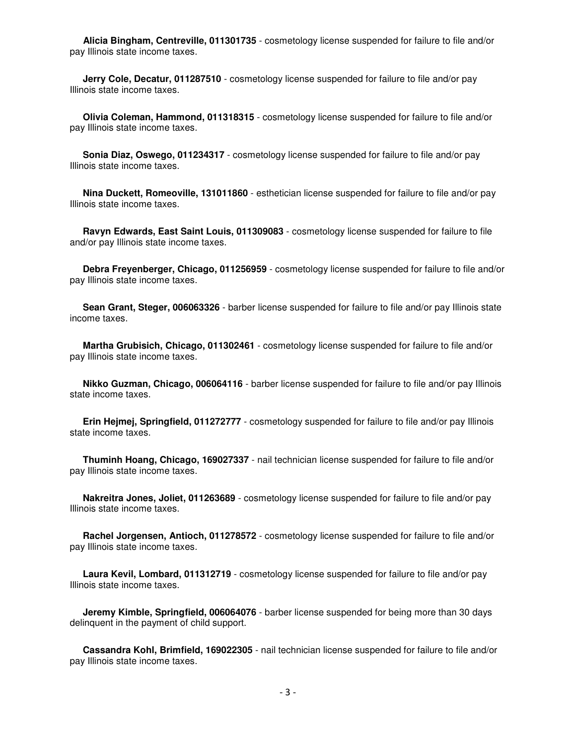**Alicia Bingham, Centreville, 011301735** - cosmetology license suspended for failure to file and/or pay Illinois state income taxes.

 **Jerry Cole, Decatur, 011287510** - cosmetology license suspended for failure to file and/or pay Illinois state income taxes.

 **Olivia Coleman, Hammond, 011318315** - cosmetology license suspended for failure to file and/or pay Illinois state income taxes.

 **Sonia Diaz, Oswego, 011234317** - cosmetology license suspended for failure to file and/or pay Illinois state income taxes.

 **Nina Duckett, Romeoville, 131011860** - esthetician license suspended for failure to file and/or pay Illinois state income taxes.

 **Ravyn Edwards, East Saint Louis, 011309083** - cosmetology license suspended for failure to file and/or pay Illinois state income taxes.

 **Debra Freyenberger, Chicago, 011256959** - cosmetology license suspended for failure to file and/or pay Illinois state income taxes.

 **Sean Grant, Steger, 006063326** - barber license suspended for failure to file and/or pay Illinois state income taxes.

 **Martha Grubisich, Chicago, 011302461** - cosmetology license suspended for failure to file and/or pay Illinois state income taxes.

 **Nikko Guzman, Chicago, 006064116** - barber license suspended for failure to file and/or pay Illinois state income taxes.

 **Erin Hejmej, Springfield, 011272777** - cosmetology suspended for failure to file and/or pay Illinois state income taxes.

 **Thuminh Hoang, Chicago, 169027337** - nail technician license suspended for failure to file and/or pay Illinois state income taxes.

 **Nakreitra Jones, Joliet, 011263689** - cosmetology license suspended for failure to file and/or pay Illinois state income taxes.

 **Rachel Jorgensen, Antioch, 011278572** - cosmetology license suspended for failure to file and/or pay Illinois state income taxes.

 **Laura Kevil, Lombard, 011312719** - cosmetology license suspended for failure to file and/or pay Illinois state income taxes.

 **Jeremy Kimble, Springfield, 006064076** - barber license suspended for being more than 30 days delinquent in the payment of child support.

 **Cassandra Kohl, Brimfield, 169022305** - nail technician license suspended for failure to file and/or pay Illinois state income taxes.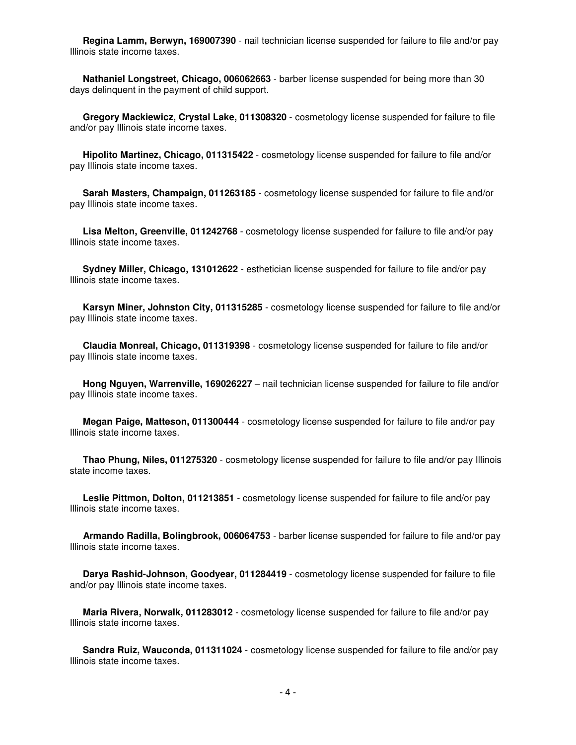**Regina Lamm, Berwyn, 169007390** - nail technician license suspended for failure to file and/or pay Illinois state income taxes.

 **Nathaniel Longstreet, Chicago, 006062663** - barber license suspended for being more than 30 days delinquent in the payment of child support.

 **Gregory Mackiewicz, Crystal Lake, 011308320** - cosmetology license suspended for failure to file and/or pay Illinois state income taxes.

 **Hipolito Martinez, Chicago, 011315422** - cosmetology license suspended for failure to file and/or pay Illinois state income taxes.

 **Sarah Masters, Champaign, 011263185** - cosmetology license suspended for failure to file and/or pay Illinois state income taxes.

 **Lisa Melton, Greenville, 011242768** - cosmetology license suspended for failure to file and/or pay Illinois state income taxes.

 **Sydney Miller, Chicago, 131012622** - esthetician license suspended for failure to file and/or pay Illinois state income taxes.

 **Karsyn Miner, Johnston City, 011315285** - cosmetology license suspended for failure to file and/or pay Illinois state income taxes.

 **Claudia Monreal, Chicago, 011319398** - cosmetology license suspended for failure to file and/or pay Illinois state income taxes.

 **Hong Nguyen, Warrenville, 169026227** – nail technician license suspended for failure to file and/or pay Illinois state income taxes.

 **Megan Paige, Matteson, 011300444** - cosmetology license suspended for failure to file and/or pay Illinois state income taxes.

 **Thao Phung, Niles, 011275320** - cosmetology license suspended for failure to file and/or pay Illinois state income taxes.

 **Leslie Pittmon, Dolton, 011213851** - cosmetology license suspended for failure to file and/or pay Illinois state income taxes.

 **Armando Radilla, Bolingbrook, 006064753** - barber license suspended for failure to file and/or pay Illinois state income taxes.

 **Darya Rashid-Johnson, Goodyear, 011284419** - cosmetology license suspended for failure to file and/or pay Illinois state income taxes.

 **Maria Rivera, Norwalk, 011283012** - cosmetology license suspended for failure to file and/or pay Illinois state income taxes.

 **Sandra Ruiz, Wauconda, 011311024** - cosmetology license suspended for failure to file and/or pay Illinois state income taxes.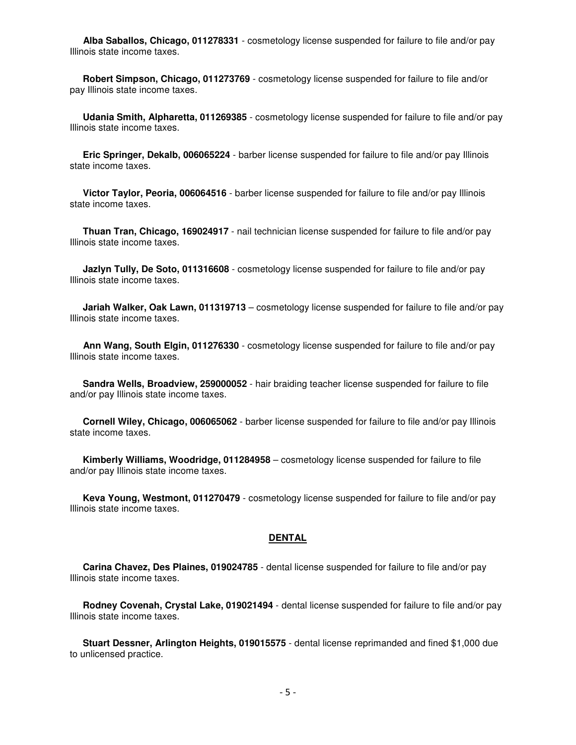**Alba Saballos, Chicago, 011278331** - cosmetology license suspended for failure to file and/or pay Illinois state income taxes.

 **Robert Simpson, Chicago, 011273769** - cosmetology license suspended for failure to file and/or pay Illinois state income taxes.

 **Udania Smith, Alpharetta, 011269385** - cosmetology license suspended for failure to file and/or pay Illinois state income taxes.

 **Eric Springer, Dekalb, 006065224** - barber license suspended for failure to file and/or pay Illinois state income taxes.

 **Victor Taylor, Peoria, 006064516** - barber license suspended for failure to file and/or pay Illinois state income taxes.

 **Thuan Tran, Chicago, 169024917** - nail technician license suspended for failure to file and/or pay Illinois state income taxes.

 **Jazlyn Tully, De Soto, 011316608** - cosmetology license suspended for failure to file and/or pay Illinois state income taxes.

 **Jariah Walker, Oak Lawn, 011319713** – cosmetology license suspended for failure to file and/or pay Illinois state income taxes.

 **Ann Wang, South Elgin, 011276330** - cosmetology license suspended for failure to file and/or pay Illinois state income taxes.

 **Sandra Wells, Broadview, 259000052** - hair braiding teacher license suspended for failure to file and/or pay Illinois state income taxes.

 **Cornell Wiley, Chicago, 006065062** - barber license suspended for failure to file and/or pay Illinois state income taxes.

 **Kimberly Williams, Woodridge, 011284958** – cosmetology license suspended for failure to file and/or pay Illinois state income taxes.

 **Keva Young, Westmont, 011270479** - cosmetology license suspended for failure to file and/or pay Illinois state income taxes.

#### **DENTAL**

 **Carina Chavez, Des Plaines, 019024785** - dental license suspended for failure to file and/or pay Illinois state income taxes.

 **Rodney Covenah, Crystal Lake, 019021494** - dental license suspended for failure to file and/or pay Illinois state income taxes.

 **Stuart Dessner, Arlington Heights, 019015575** - dental license reprimanded and fined \$1,000 due to unlicensed practice.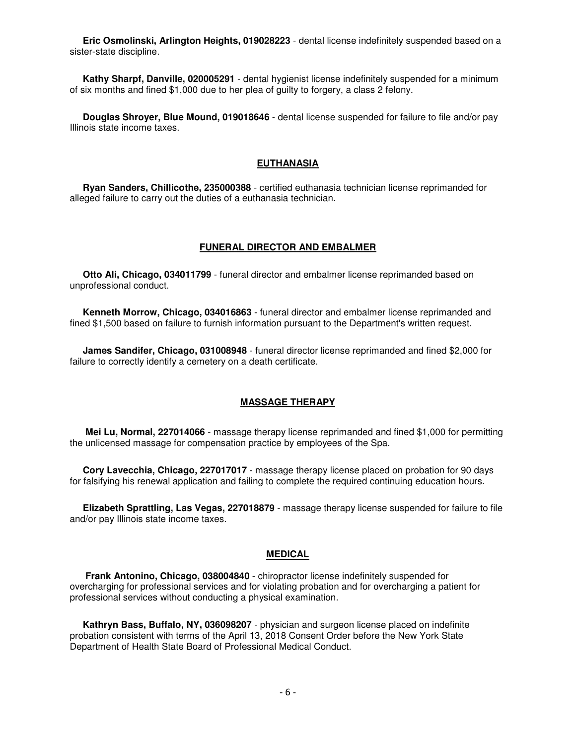**Eric Osmolinski, Arlington Heights, 019028223** - dental license indefinitely suspended based on a sister-state discipline.

 **Kathy Sharpf, Danville, 020005291** - dental hygienist license indefinitely suspended for a minimum of six months and fined \$1,000 due to her plea of guilty to forgery, a class 2 felony.

 **Douglas Shroyer, Blue Mound, 019018646** - dental license suspended for failure to file and/or pay Illinois state income taxes.

#### **EUTHANASIA**

 **Ryan Sanders, Chillicothe, 235000388** - certified euthanasia technician license reprimanded for alleged failure to carry out the duties of a euthanasia technician.

#### **FUNERAL DIRECTOR AND EMBALMER**

 **Otto Ali, Chicago, 034011799** - funeral director and embalmer license reprimanded based on unprofessional conduct.

 **Kenneth Morrow, Chicago, 034016863** - funeral director and embalmer license reprimanded and fined \$1,500 based on failure to furnish information pursuant to the Department's written request.

 **James Sandifer, Chicago, 031008948** - funeral director license reprimanded and fined \$2,000 for failure to correctly identify a cemetery on a death certificate.

#### **MASSAGE THERAPY**

 **Mei Lu, Normal, 227014066** - massage therapy license reprimanded and fined \$1,000 for permitting the unlicensed massage for compensation practice by employees of the Spa.

 **Cory Lavecchia, Chicago, 227017017** - massage therapy license placed on probation for 90 days for falsifying his renewal application and failing to complete the required continuing education hours.

 **Elizabeth Sprattling, Las Vegas, 227018879** - massage therapy license suspended for failure to file and/or pay Illinois state income taxes.

#### **MEDICAL**

 **Frank Antonino, Chicago, 038004840** - chiropractor license indefinitely suspended for overcharging for professional services and for violating probation and for overcharging a patient for professional services without conducting a physical examination.

 **Kathryn Bass, Buffalo, NY, 036098207** - physician and surgeon license placed on indefinite probation consistent with terms of the April 13, 2018 Consent Order before the New York State Department of Health State Board of Professional Medical Conduct.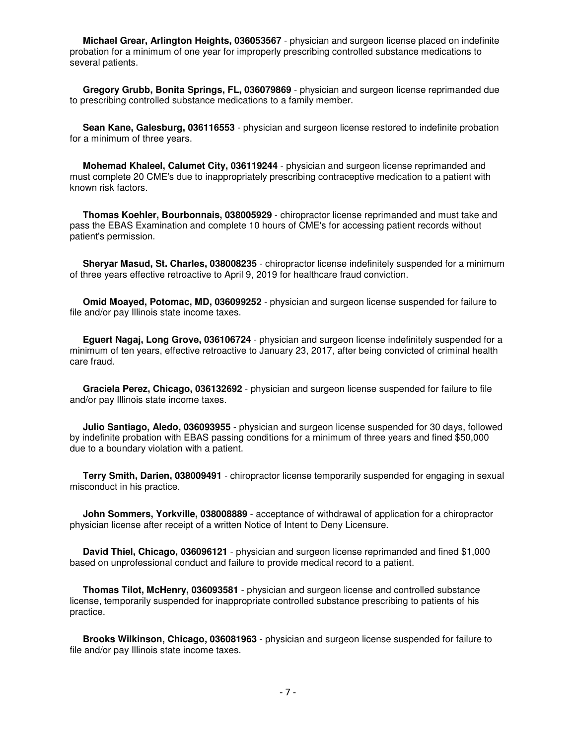**Michael Grear, Arlington Heights, 036053567** - physician and surgeon license placed on indefinite probation for a minimum of one year for improperly prescribing controlled substance medications to several patients.

 **Gregory Grubb, Bonita Springs, FL, 036079869** - physician and surgeon license reprimanded due to prescribing controlled substance medications to a family member.

 **Sean Kane, Galesburg, 036116553** - physician and surgeon license restored to indefinite probation for a minimum of three years.

 **Mohemad Khaleel, Calumet City, 036119244** - physician and surgeon license reprimanded and must complete 20 CME's due to inappropriately prescribing contraceptive medication to a patient with known risk factors.

 **Thomas Koehler, Bourbonnais, 038005929** - chiropractor license reprimanded and must take and pass the EBAS Examination and complete 10 hours of CME's for accessing patient records without patient's permission.

 **Sheryar Masud, St. Charles, 038008235** - chiropractor license indefinitely suspended for a minimum of three years effective retroactive to April 9, 2019 for healthcare fraud conviction.

 **Omid Moayed, Potomac, MD, 036099252** - physician and surgeon license suspended for failure to file and/or pay Illinois state income taxes.

 **Eguert Nagaj, Long Grove, 036106724** - physician and surgeon license indefinitely suspended for a minimum of ten years, effective retroactive to January 23, 2017, after being convicted of criminal health care fraud.

 **Graciela Perez, Chicago, 036132692** - physician and surgeon license suspended for failure to file and/or pay Illinois state income taxes.

 **Julio Santiago, Aledo, 036093955** - physician and surgeon license suspended for 30 days, followed by indefinite probation with EBAS passing conditions for a minimum of three years and fined \$50,000 due to a boundary violation with a patient.

 **Terry Smith, Darien, 038009491** - chiropractor license temporarily suspended for engaging in sexual misconduct in his practice.

 **John Sommers, Yorkville, 038008889** - acceptance of withdrawal of application for a chiropractor physician license after receipt of a written Notice of Intent to Deny Licensure.

 **David Thiel, Chicago, 036096121** - physician and surgeon license reprimanded and fined \$1,000 based on unprofessional conduct and failure to provide medical record to a patient.

 **Thomas Tilot, McHenry, 036093581** - physician and surgeon license and controlled substance license, temporarily suspended for inappropriate controlled substance prescribing to patients of his practice.

 **Brooks Wilkinson, Chicago, 036081963** - physician and surgeon license suspended for failure to file and/or pay Illinois state income taxes.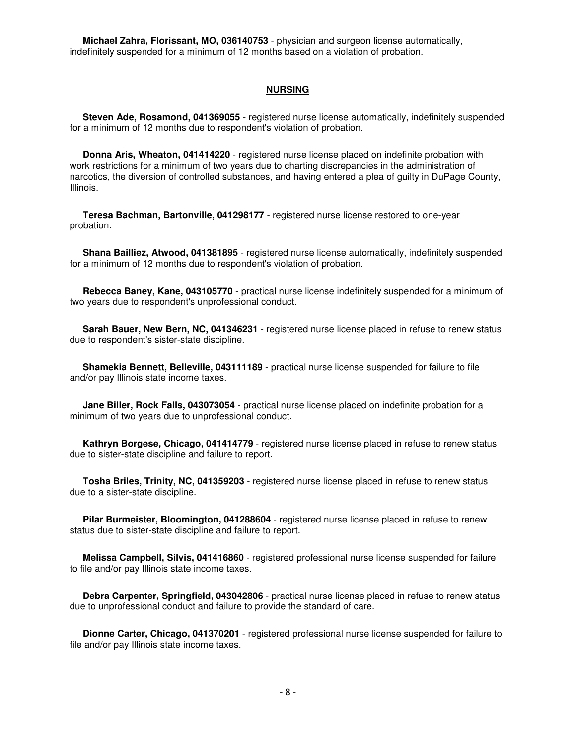**Michael Zahra, Florissant, MO, 036140753** - physician and surgeon license automatically, indefinitely suspended for a minimum of 12 months based on a violation of probation.

#### **NURSING**

 **Steven Ade, Rosamond, 041369055** - registered nurse license automatically, indefinitely suspended for a minimum of 12 months due to respondent's violation of probation.

 **Donna Aris, Wheaton, 041414220** - registered nurse license placed on indefinite probation with work restrictions for a minimum of two years due to charting discrepancies in the administration of narcotics, the diversion of controlled substances, and having entered a plea of guilty in DuPage County, Illinois.

 **Teresa Bachman, Bartonville, 041298177** - registered nurse license restored to one-year probation.

 **Shana Bailliez, Atwood, 041381895** - registered nurse license automatically, indefinitely suspended for a minimum of 12 months due to respondent's violation of probation.

 **Rebecca Baney, Kane, 043105770** - practical nurse license indefinitely suspended for a minimum of two years due to respondent's unprofessional conduct.

 **Sarah Bauer, New Bern, NC, 041346231** - registered nurse license placed in refuse to renew status due to respondent's sister-state discipline.

 **Shamekia Bennett, Belleville, 043111189** - practical nurse license suspended for failure to file and/or pay Illinois state income taxes.

 **Jane Biller, Rock Falls, 043073054** - practical nurse license placed on indefinite probation for a minimum of two years due to unprofessional conduct.

 **Kathryn Borgese, Chicago, 041414779** - registered nurse license placed in refuse to renew status due to sister-state discipline and failure to report.

 **Tosha Briles, Trinity, NC, 041359203** - registered nurse license placed in refuse to renew status due to a sister-state discipline.

 **Pilar Burmeister, Bloomington, 041288604** - registered nurse license placed in refuse to renew status due to sister-state discipline and failure to report.

 **Melissa Campbell, Silvis, 041416860** - registered professional nurse license suspended for failure to file and/or pay Illinois state income taxes.

 **Debra Carpenter, Springfield, 043042806** - practical nurse license placed in refuse to renew status due to unprofessional conduct and failure to provide the standard of care.

 **Dionne Carter, Chicago, 041370201** - registered professional nurse license suspended for failure to file and/or pay Illinois state income taxes.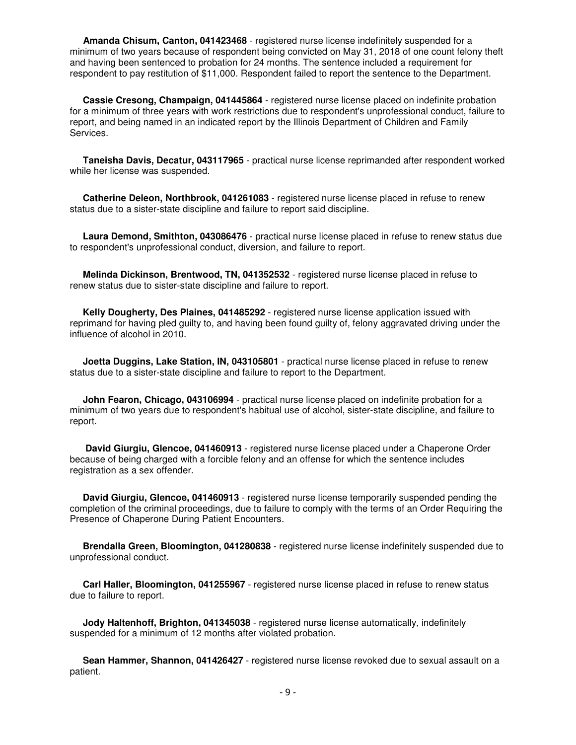**Amanda Chisum, Canton, 041423468** - registered nurse license indefinitely suspended for a minimum of two years because of respondent being convicted on May 31, 2018 of one count felony theft and having been sentenced to probation for 24 months. The sentence included a requirement for respondent to pay restitution of \$11,000. Respondent failed to report the sentence to the Department.

 **Cassie Cresong, Champaign, 041445864** - registered nurse license placed on indefinite probation for a minimum of three years with work restrictions due to respondent's unprofessional conduct, failure to report, and being named in an indicated report by the Illinois Department of Children and Family Services.

 **Taneisha Davis, Decatur, 043117965** - practical nurse license reprimanded after respondent worked while her license was suspended.

 **Catherine Deleon, Northbrook, 041261083** - registered nurse license placed in refuse to renew status due to a sister-state discipline and failure to report said discipline.

 **Laura Demond, Smithton, 043086476** - practical nurse license placed in refuse to renew status due to respondent's unprofessional conduct, diversion, and failure to report.

 **Melinda Dickinson, Brentwood, TN, 041352532** - registered nurse license placed in refuse to renew status due to sister-state discipline and failure to report.

 **Kelly Dougherty, Des Plaines, 041485292** - registered nurse license application issued with reprimand for having pled guilty to, and having been found guilty of, felony aggravated driving under the influence of alcohol in 2010.

 **Joetta Duggins, Lake Station, IN, 043105801** - practical nurse license placed in refuse to renew status due to a sister-state discipline and failure to report to the Department.

 **John Fearon, Chicago, 043106994** - practical nurse license placed on indefinite probation for a minimum of two years due to respondent's habitual use of alcohol, sister-state discipline, and failure to report.

 **David Giurgiu, Glencoe, 041460913** - registered nurse license placed under a Chaperone Order because of being charged with a forcible felony and an offense for which the sentence includes registration as a sex offender.

 **David Giurgiu, Glencoe, 041460913** - registered nurse license temporarily suspended pending the completion of the criminal proceedings, due to failure to comply with the terms of an Order Requiring the Presence of Chaperone During Patient Encounters.

 **Brendalla Green, Bloomington, 041280838** - registered nurse license indefinitely suspended due to unprofessional conduct.

 **Carl Haller, Bloomington, 041255967** - registered nurse license placed in refuse to renew status due to failure to report.

 **Jody Haltenhoff, Brighton, 041345038** - registered nurse license automatically, indefinitely suspended for a minimum of 12 months after violated probation.

 **Sean Hammer, Shannon, 041426427** - registered nurse license revoked due to sexual assault on a patient.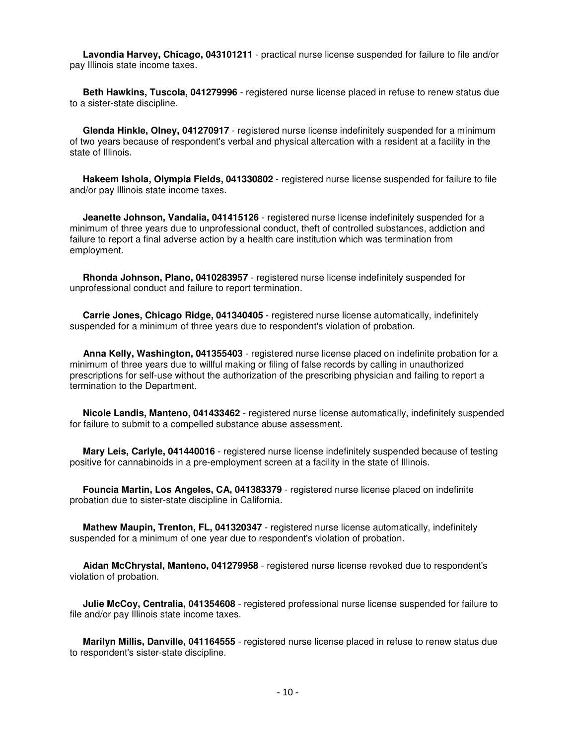**Lavondia Harvey, Chicago, 043101211** - practical nurse license suspended for failure to file and/or pay Illinois state income taxes.

 **Beth Hawkins, Tuscola, 041279996** - registered nurse license placed in refuse to renew status due to a sister-state discipline.

 **Glenda Hinkle, Olney, 041270917** - registered nurse license indefinitely suspended for a minimum of two years because of respondent's verbal and physical altercation with a resident at a facility in the state of Illinois.

 **Hakeem Ishola, Olympia Fields, 041330802** - registered nurse license suspended for failure to file and/or pay Illinois state income taxes.

 **Jeanette Johnson, Vandalia, 041415126** - registered nurse license indefinitely suspended for a minimum of three years due to unprofessional conduct, theft of controlled substances, addiction and failure to report a final adverse action by a health care institution which was termination from employment.

 **Rhonda Johnson, Plano, 0410283957** - registered nurse license indefinitely suspended for unprofessional conduct and failure to report termination.

 **Carrie Jones, Chicago Ridge, 041340405** - registered nurse license automatically, indefinitely suspended for a minimum of three years due to respondent's violation of probation.

 **Anna Kelly, Washington, 041355403** - registered nurse license placed on indefinite probation for a minimum of three years due to willful making or filing of false records by calling in unauthorized prescriptions for self-use without the authorization of the prescribing physician and failing to report a termination to the Department.

 **Nicole Landis, Manteno, 041433462** - registered nurse license automatically, indefinitely suspended for failure to submit to a compelled substance abuse assessment.

 **Mary Leis, Carlyle, 041440016** - registered nurse license indefinitely suspended because of testing positive for cannabinoids in a pre-employment screen at a facility in the state of Illinois.

 **Founcia Martin, Los Angeles, CA, 041383379** - registered nurse license placed on indefinite probation due to sister-state discipline in California.

 **Mathew Maupin, Trenton, FL, 041320347** - registered nurse license automatically, indefinitely suspended for a minimum of one year due to respondent's violation of probation.

 **Aidan McChrystal, Manteno, 041279958** - registered nurse license revoked due to respondent's violation of probation.

 **Julie McCoy, Centralia, 041354608** - registered professional nurse license suspended for failure to file and/or pay Illinois state income taxes.

 **Marilyn Millis, Danville, 041164555** - registered nurse license placed in refuse to renew status due to respondent's sister-state discipline.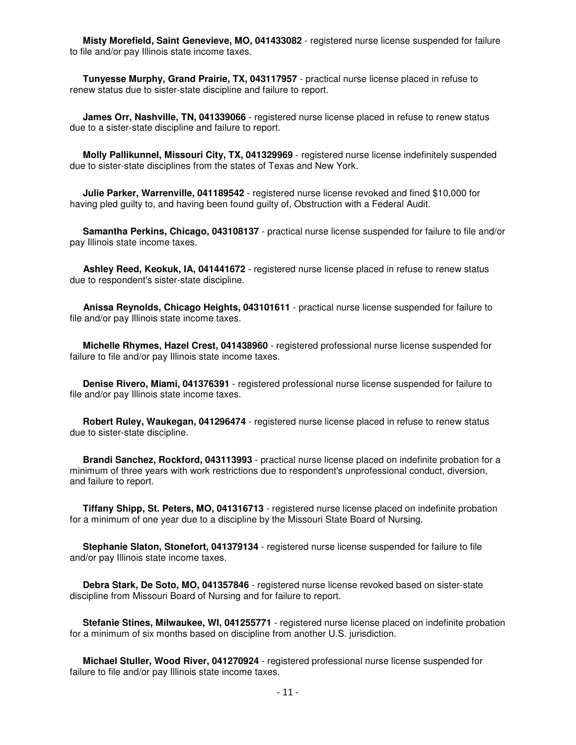**Misty Morefield, Saint Genevieve, MO, 041433082** - registered nurse license suspended for failure to file and/or pay Illinois state income taxes.

 **Tunyesse Murphy, Grand Prairie, TX, 043117957** - practical nurse license placed in refuse to renew status due to sister-state discipline and failure to report.

 **James Orr, Nashville, TN, 041339066** - registered nurse license placed in refuse to renew status due to a sister-state discipline and failure to report.

 **Molly Pallikunnel, Missouri City, TX, 041329969** - registered nurse license indefinitely suspended due to sister-state disciplines from the states of Texas and New York.

 **Julie Parker, Warrenville, 041189542** - registered nurse license revoked and fined \$10,000 for having pled guilty to, and having been found guilty of, Obstruction with a Federal Audit.

 **Samantha Perkins, Chicago, 043108137** - practical nurse license suspended for failure to file and/or pay Illinois state income taxes.

 **Ashley Reed, Keokuk, IA, 041441672** - registered nurse license placed in refuse to renew status due to respondent's sister-state discipline.

 **Anissa Reynolds, Chicago Heights, 043101611** - practical nurse license suspended for failure to file and/or pay Illinois state income taxes.

 **Michelle Rhymes, Hazel Crest, 041438960** - registered professional nurse license suspended for failure to file and/or pay Illinois state income taxes.

 **Denise Rivero, Miami, 041376391** - registered professional nurse license suspended for failure to file and/or pay Illinois state income taxes.

 **Robert Ruley, Waukegan, 041296474** - registered nurse license placed in refuse to renew status due to sister-state discipline.

 **Brandi Sanchez, Rockford, 043113993** - practical nurse license placed on indefinite probation for a minimum of three years with work restrictions due to respondent's unprofessional conduct, diversion, and failure to report.

 **Tiffany Shipp, St. Peters, MO, 041316713** - registered nurse license placed on indefinite probation for a minimum of one year due to a discipline by the Missouri State Board of Nursing.

 **Stephanie Slaton, Stonefort, 041379134** - registered nurse license suspended for failure to file and/or pay Illinois state income taxes.

 **Debra Stark, De Soto, MO, 041357846** - registered nurse license revoked based on sister-state discipline from Missouri Board of Nursing and for failure to report.

 **Stefanie Stines, Milwaukee, WI, 041255771** - registered nurse license placed on indefinite probation for a minimum of six months based on discipline from another U.S. jurisdiction.

 **Michael Stuller, Wood River, 041270924** - registered professional nurse license suspended for failure to file and/or pay Illinois state income taxes.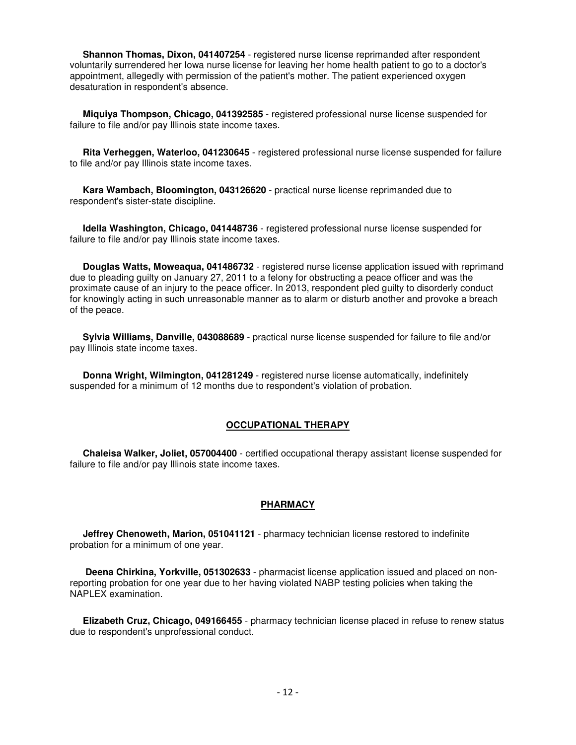**Shannon Thomas, Dixon, 041407254** - registered nurse license reprimanded after respondent voluntarily surrendered her Iowa nurse license for leaving her home health patient to go to a doctor's appointment, allegedly with permission of the patient's mother. The patient experienced oxygen desaturation in respondent's absence.

 **Miquiya Thompson, Chicago, 041392585** - registered professional nurse license suspended for failure to file and/or pay Illinois state income taxes.

 **Rita Verheggen, Waterloo, 041230645** - registered professional nurse license suspended for failure to file and/or pay Illinois state income taxes.

 **Kara Wambach, Bloomington, 043126620** - practical nurse license reprimanded due to respondent's sister-state discipline.

 **Idella Washington, Chicago, 041448736** - registered professional nurse license suspended for failure to file and/or pay Illinois state income taxes.

 **Douglas Watts, Moweaqua, 041486732** - registered nurse license application issued with reprimand due to pleading guilty on January 27, 2011 to a felony for obstructing a peace officer and was the proximate cause of an injury to the peace officer. In 2013, respondent pled guilty to disorderly conduct for knowingly acting in such unreasonable manner as to alarm or disturb another and provoke a breach of the peace.

 **Sylvia Williams, Danville, 043088689** - practical nurse license suspended for failure to file and/or pay Illinois state income taxes.

 **Donna Wright, Wilmington, 041281249** - registered nurse license automatically, indefinitely suspended for a minimum of 12 months due to respondent's violation of probation.

### **OCCUPATIONAL THERAPY**

 **Chaleisa Walker, Joliet, 057004400** - certified occupational therapy assistant license suspended for failure to file and/or pay Illinois state income taxes.

#### **PHARMACY**

 **Jeffrey Chenoweth, Marion, 051041121** - pharmacy technician license restored to indefinite probation for a minimum of one year.

 **Deena Chirkina, Yorkville, 051302633** - pharmacist license application issued and placed on nonreporting probation for one year due to her having violated NABP testing policies when taking the NAPLEX examination.

 **Elizabeth Cruz, Chicago, 049166455** - pharmacy technician license placed in refuse to renew status due to respondent's unprofessional conduct.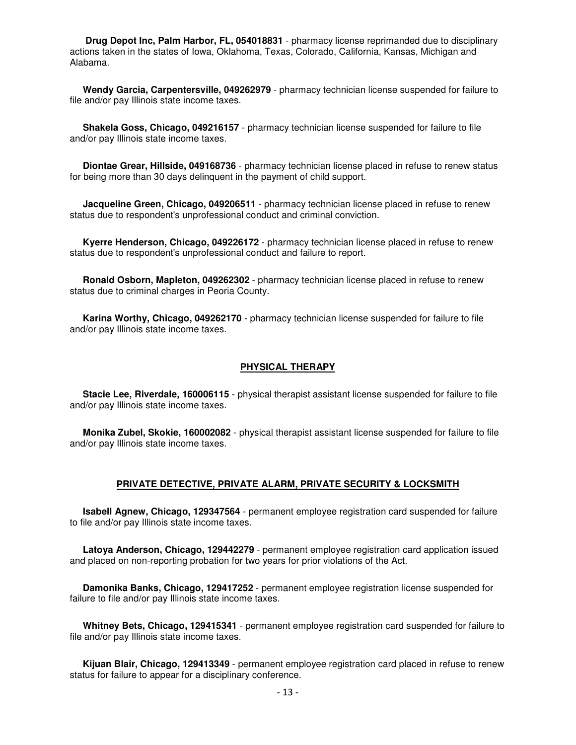**Drug Depot Inc, Palm Harbor, FL, 054018831** - pharmacy license reprimanded due to disciplinary actions taken in the states of Iowa, Oklahoma, Texas, Colorado, California, Kansas, Michigan and Alabama.

 **Wendy Garcia, Carpentersville, 049262979** - pharmacy technician license suspended for failure to file and/or pay Illinois state income taxes.

 **Shakela Goss, Chicago, 049216157** - pharmacy technician license suspended for failure to file and/or pay Illinois state income taxes.

 **Diontae Grear, Hillside, 049168736** - pharmacy technician license placed in refuse to renew status for being more than 30 days delinquent in the payment of child support.

 **Jacqueline Green, Chicago, 049206511** - pharmacy technician license placed in refuse to renew status due to respondent's unprofessional conduct and criminal conviction.

 **Kyerre Henderson, Chicago, 049226172** - pharmacy technician license placed in refuse to renew status due to respondent's unprofessional conduct and failure to report.

 **Ronald Osborn, Mapleton, 049262302** - pharmacy technician license placed in refuse to renew status due to criminal charges in Peoria County.

 **Karina Worthy, Chicago, 049262170** - pharmacy technician license suspended for failure to file and/or pay Illinois state income taxes.

#### **PHYSICAL THERAPY**

 **Stacie Lee, Riverdale, 160006115** - physical therapist assistant license suspended for failure to file and/or pay Illinois state income taxes.

 **Monika Zubel, Skokie, 160002082** - physical therapist assistant license suspended for failure to file and/or pay Illinois state income taxes.

#### **PRIVATE DETECTIVE, PRIVATE ALARM, PRIVATE SECURITY & LOCKSMITH**

 **Isabell Agnew, Chicago, 129347564** - permanent employee registration card suspended for failure to file and/or pay Illinois state income taxes.

 **Latoya Anderson, Chicago, 129442279** - permanent employee registration card application issued and placed on non-reporting probation for two years for prior violations of the Act.

 **Damonika Banks, Chicago, 129417252** - permanent employee registration license suspended for failure to file and/or pay Illinois state income taxes.

 **Whitney Bets, Chicago, 129415341** - permanent employee registration card suspended for failure to file and/or pay Illinois state income taxes.

 **Kijuan Blair, Chicago, 129413349** - permanent employee registration card placed in refuse to renew status for failure to appear for a disciplinary conference.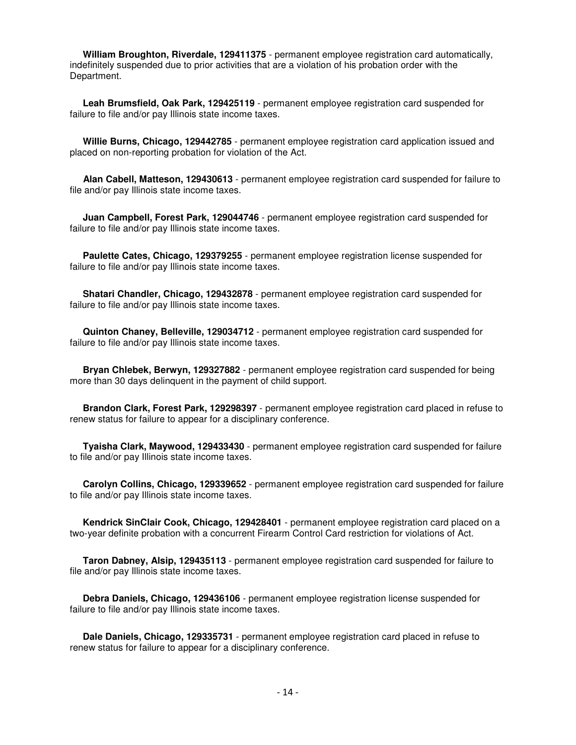**William Broughton, Riverdale, 129411375** - permanent employee registration card automatically, indefinitely suspended due to prior activities that are a violation of his probation order with the Department.

 **Leah Brumsfield, Oak Park, 129425119** - permanent employee registration card suspended for failure to file and/or pay Illinois state income taxes.

 **Willie Burns, Chicago, 129442785** - permanent employee registration card application issued and placed on non-reporting probation for violation of the Act.

 **Alan Cabell, Matteson, 129430613** - permanent employee registration card suspended for failure to file and/or pay Illinois state income taxes.

 **Juan Campbell, Forest Park, 129044746** - permanent employee registration card suspended for failure to file and/or pay Illinois state income taxes.

 **Paulette Cates, Chicago, 129379255** - permanent employee registration license suspended for failure to file and/or pay Illinois state income taxes.

 **Shatari Chandler, Chicago, 129432878** - permanent employee registration card suspended for failure to file and/or pay Illinois state income taxes.

 **Quinton Chaney, Belleville, 129034712** - permanent employee registration card suspended for failure to file and/or pay Illinois state income taxes.

 **Bryan Chlebek, Berwyn, 129327882** - permanent employee registration card suspended for being more than 30 days delinquent in the payment of child support.

 **Brandon Clark, Forest Park, 129298397** - permanent employee registration card placed in refuse to renew status for failure to appear for a disciplinary conference.

 **Tyaisha Clark, Maywood, 129433430** - permanent employee registration card suspended for failure to file and/or pay Illinois state income taxes.

 **Carolyn Collins, Chicago, 129339652** - permanent employee registration card suspended for failure to file and/or pay Illinois state income taxes.

 **Kendrick SinClair Cook, Chicago, 129428401** - permanent employee registration card placed on a two-year definite probation with a concurrent Firearm Control Card restriction for violations of Act.

 **Taron Dabney, Alsip, 129435113** - permanent employee registration card suspended for failure to file and/or pay Illinois state income taxes.

 **Debra Daniels, Chicago, 129436106** - permanent employee registration license suspended for failure to file and/or pay Illinois state income taxes.

 **Dale Daniels, Chicago, 129335731** - permanent employee registration card placed in refuse to renew status for failure to appear for a disciplinary conference.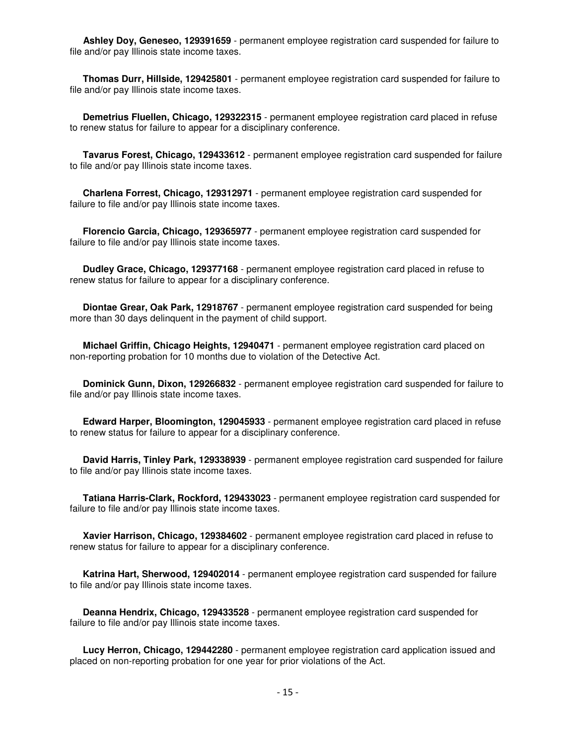**Ashley Doy, Geneseo, 129391659** - permanent employee registration card suspended for failure to file and/or pay Illinois state income taxes.

 **Thomas Durr, Hillside, 129425801** - permanent employee registration card suspended for failure to file and/or pay Illinois state income taxes.

 **Demetrius Fluellen, Chicago, 129322315** - permanent employee registration card placed in refuse to renew status for failure to appear for a disciplinary conference.

 **Tavarus Forest, Chicago, 129433612** - permanent employee registration card suspended for failure to file and/or pay Illinois state income taxes.

 **Charlena Forrest, Chicago, 129312971** - permanent employee registration card suspended for failure to file and/or pay Illinois state income taxes.

 **Florencio Garcia, Chicago, 129365977** - permanent employee registration card suspended for failure to file and/or pay Illinois state income taxes.

 **Dudley Grace, Chicago, 129377168** - permanent employee registration card placed in refuse to renew status for failure to appear for a disciplinary conference.

 **Diontae Grear, Oak Park, 12918767** - permanent employee registration card suspended for being more than 30 days delinquent in the payment of child support.

 **Michael Griffin, Chicago Heights, 12940471** - permanent employee registration card placed on non-reporting probation for 10 months due to violation of the Detective Act.

 **Dominick Gunn, Dixon, 129266832** - permanent employee registration card suspended for failure to file and/or pay Illinois state income taxes.

 **Edward Harper, Bloomington, 129045933** - permanent employee registration card placed in refuse to renew status for failure to appear for a disciplinary conference.

 **David Harris, Tinley Park, 129338939** - permanent employee registration card suspended for failure to file and/or pay Illinois state income taxes.

 **Tatiana Harris-Clark, Rockford, 129433023** - permanent employee registration card suspended for failure to file and/or pay Illinois state income taxes.

 **Xavier Harrison, Chicago, 129384602** - permanent employee registration card placed in refuse to renew status for failure to appear for a disciplinary conference.

 **Katrina Hart, Sherwood, 129402014** - permanent employee registration card suspended for failure to file and/or pay Illinois state income taxes.

 **Deanna Hendrix, Chicago, 129433528** - permanent employee registration card suspended for failure to file and/or pay Illinois state income taxes.

 **Lucy Herron, Chicago, 129442280** - permanent employee registration card application issued and placed on non-reporting probation for one year for prior violations of the Act.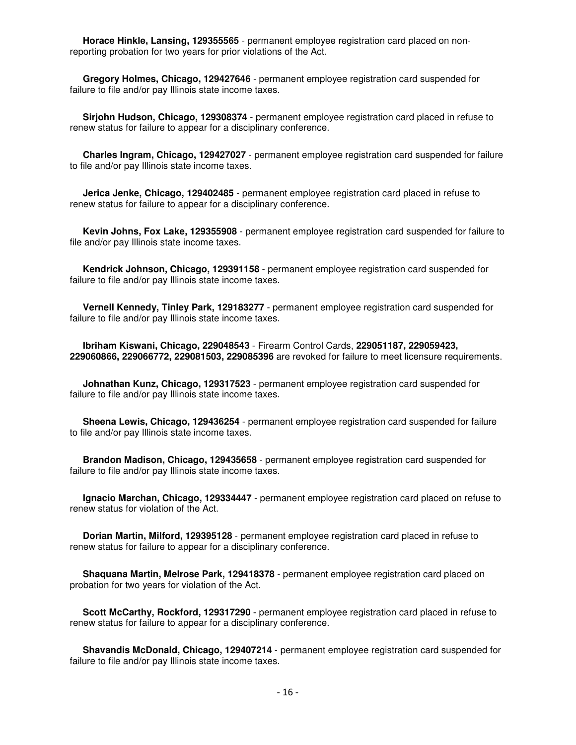**Horace Hinkle, Lansing, 129355565** - permanent employee registration card placed on nonreporting probation for two years for prior violations of the Act.

 **Gregory Holmes, Chicago, 129427646** - permanent employee registration card suspended for failure to file and/or pay Illinois state income taxes.

 **Sirjohn Hudson, Chicago, 129308374** - permanent employee registration card placed in refuse to renew status for failure to appear for a disciplinary conference.

 **Charles Ingram, Chicago, 129427027** - permanent employee registration card suspended for failure to file and/or pay Illinois state income taxes.

 **Jerica Jenke, Chicago, 129402485** - permanent employee registration card placed in refuse to renew status for failure to appear for a disciplinary conference.

 **Kevin Johns, Fox Lake, 129355908** - permanent employee registration card suspended for failure to file and/or pay Illinois state income taxes.

 **Kendrick Johnson, Chicago, 129391158** - permanent employee registration card suspended for failure to file and/or pay Illinois state income taxes.

 **Vernell Kennedy, Tinley Park, 129183277** - permanent employee registration card suspended for failure to file and/or pay Illinois state income taxes.

 **Ibriham Kiswani, Chicago, 229048543** - Firearm Control Cards, **229051187, 229059423, 229060866, 229066772, 229081503, 229085396** are revoked for failure to meet licensure requirements.

 **Johnathan Kunz, Chicago, 129317523** - permanent employee registration card suspended for failure to file and/or pay Illinois state income taxes.

 **Sheena Lewis, Chicago, 129436254** - permanent employee registration card suspended for failure to file and/or pay Illinois state income taxes.

 **Brandon Madison, Chicago, 129435658** - permanent employee registration card suspended for failure to file and/or pay Illinois state income taxes.

 **Ignacio Marchan, Chicago, 129334447** - permanent employee registration card placed on refuse to renew status for violation of the Act.

 **Dorian Martin, Milford, 129395128** - permanent employee registration card placed in refuse to renew status for failure to appear for a disciplinary conference.

 **Shaquana Martin, Melrose Park, 129418378** - permanent employee registration card placed on probation for two years for violation of the Act.

 **Scott McCarthy, Rockford, 129317290** - permanent employee registration card placed in refuse to renew status for failure to appear for a disciplinary conference.

 **Shavandis McDonald, Chicago, 129407214** - permanent employee registration card suspended for failure to file and/or pay Illinois state income taxes.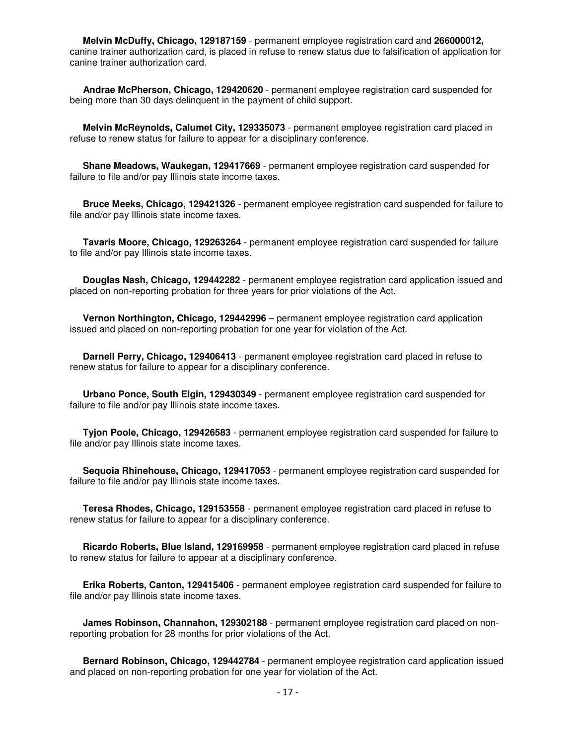**Melvin McDuffy, Chicago, 129187159** - permanent employee registration card and **266000012,** canine trainer authorization card, is placed in refuse to renew status due to falsification of application for canine trainer authorization card.

 **Andrae McPherson, Chicago, 129420620** - permanent employee registration card suspended for being more than 30 days delinquent in the payment of child support.

 **Melvin McReynolds, Calumet City, 129335073** - permanent employee registration card placed in refuse to renew status for failure to appear for a disciplinary conference.

 **Shane Meadows, Waukegan, 129417669** - permanent employee registration card suspended for failure to file and/or pay Illinois state income taxes.

 **Bruce Meeks, Chicago, 129421326** - permanent employee registration card suspended for failure to file and/or pay Illinois state income taxes.

 **Tavaris Moore, Chicago, 129263264** - permanent employee registration card suspended for failure to file and/or pay Illinois state income taxes.

 **Douglas Nash, Chicago, 129442282** - permanent employee registration card application issued and placed on non-reporting probation for three years for prior violations of the Act.

 **Vernon Northington, Chicago, 129442996** – permanent employee registration card application issued and placed on non-reporting probation for one year for violation of the Act.

 **Darnell Perry, Chicago, 129406413** - permanent employee registration card placed in refuse to renew status for failure to appear for a disciplinary conference.

 **Urbano Ponce, South Elgin, 129430349** - permanent employee registration card suspended for failure to file and/or pay Illinois state income taxes.

 **Tyjon Poole, Chicago, 129426583** - permanent employee registration card suspended for failure to file and/or pay Illinois state income taxes.

 **Sequoia Rhinehouse, Chicago, 129417053** - permanent employee registration card suspended for failure to file and/or pay Illinois state income taxes.

 **Teresa Rhodes, Chicago, 129153558** - permanent employee registration card placed in refuse to renew status for failure to appear for a disciplinary conference.

 **Ricardo Roberts, Blue Island, 129169958** - permanent employee registration card placed in refuse to renew status for failure to appear at a disciplinary conference.

 **Erika Roberts, Canton, 129415406** - permanent employee registration card suspended for failure to file and/or pay Illinois state income taxes.

 **James Robinson, Channahon, 129302188** - permanent employee registration card placed on nonreporting probation for 28 months for prior violations of the Act.

 **Bernard Robinson, Chicago, 129442784** - permanent employee registration card application issued and placed on non-reporting probation for one year for violation of the Act.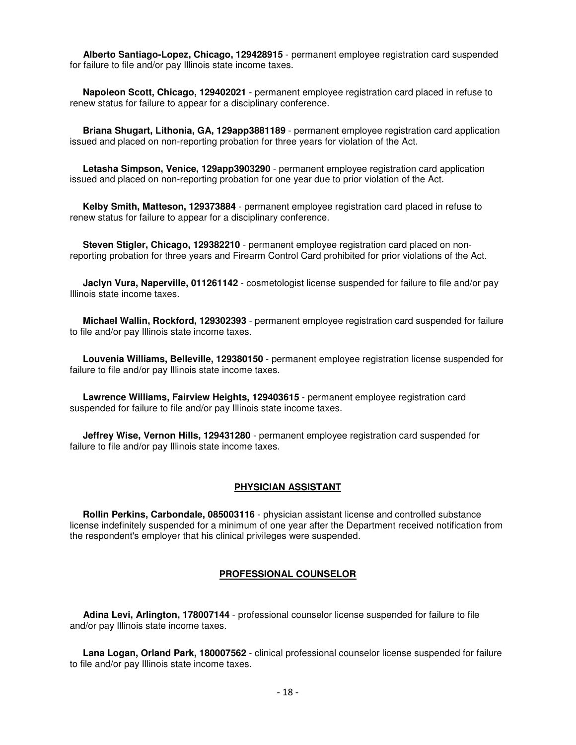**Alberto Santiago-Lopez, Chicago, 129428915** - permanent employee registration card suspended for failure to file and/or pay Illinois state income taxes.

 **Napoleon Scott, Chicago, 129402021** - permanent employee registration card placed in refuse to renew status for failure to appear for a disciplinary conference.

 **Briana Shugart, Lithonia, GA, 129app3881189** - permanent employee registration card application issued and placed on non-reporting probation for three years for violation of the Act.

 **Letasha Simpson, Venice, 129app3903290** - permanent employee registration card application issued and placed on non-reporting probation for one year due to prior violation of the Act.

 **Kelby Smith, Matteson, 129373884** - permanent employee registration card placed in refuse to renew status for failure to appear for a disciplinary conference.

 **Steven Stigler, Chicago, 129382210** - permanent employee registration card placed on nonreporting probation for three years and Firearm Control Card prohibited for prior violations of the Act.

 **Jaclyn Vura, Naperville, 011261142** - cosmetologist license suspended for failure to file and/or pay Illinois state income taxes.

 **Michael Wallin, Rockford, 129302393** - permanent employee registration card suspended for failure to file and/or pay Illinois state income taxes.

 **Louvenia Williams, Belleville, 129380150** - permanent employee registration license suspended for failure to file and/or pay Illinois state income taxes.

 **Lawrence Williams, Fairview Heights, 129403615** - permanent employee registration card suspended for failure to file and/or pay Illinois state income taxes.

 **Jeffrey Wise, Vernon Hills, 129431280** - permanent employee registration card suspended for failure to file and/or pay Illinois state income taxes.

#### **PHYSICIAN ASSISTANT**

 **Rollin Perkins, Carbondale, 085003116** - physician assistant license and controlled substance license indefinitely suspended for a minimum of one year after the Department received notification from the respondent's employer that his clinical privileges were suspended.

### **PROFESSIONAL COUNSELOR**

 **Adina Levi, Arlington, 178007144** - professional counselor license suspended for failure to file and/or pay Illinois state income taxes.

 **Lana Logan, Orland Park, 180007562** - clinical professional counselor license suspended for failure to file and/or pay Illinois state income taxes.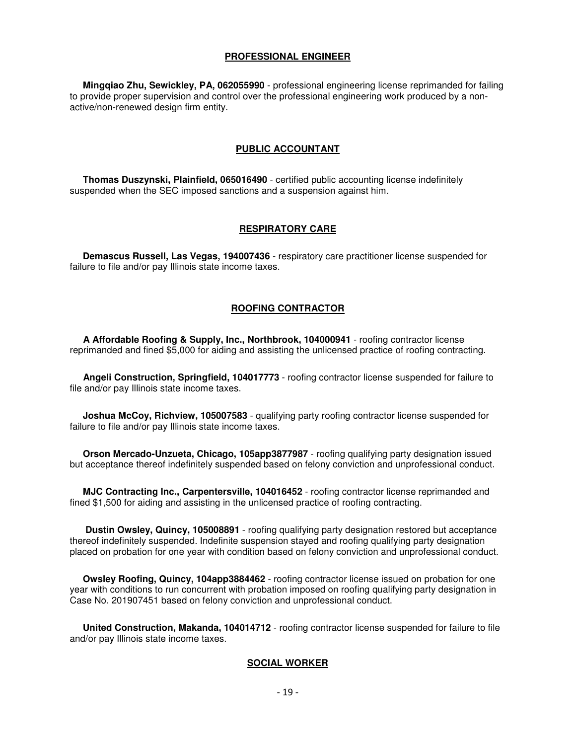#### **PROFESSIONAL ENGINEER**

 **Mingqiao Zhu, Sewickley, PA, 062055990** - professional engineering license reprimanded for failing to provide proper supervision and control over the professional engineering work produced by a nonactive/non-renewed design firm entity.

#### **PUBLIC ACCOUNTANT**

 **Thomas Duszynski, Plainfield, 065016490** - certified public accounting license indefinitely suspended when the SEC imposed sanctions and a suspension against him.

#### **RESPIRATORY CARE**

 **Demascus Russell, Las Vegas, 194007436** - respiratory care practitioner license suspended for failure to file and/or pay Illinois state income taxes.

#### **ROOFING CONTRACTOR**

 **A Affordable Roofing & Supply, Inc., Northbrook, 104000941** - roofing contractor license reprimanded and fined \$5,000 for aiding and assisting the unlicensed practice of roofing contracting.

 **Angeli Construction, Springfield, 104017773** - roofing contractor license suspended for failure to file and/or pay Illinois state income taxes.

 **Joshua McCoy, Richview, 105007583** - qualifying party roofing contractor license suspended for failure to file and/or pay Illinois state income taxes.

 **Orson Mercado-Unzueta, Chicago, 105app3877987** - roofing qualifying party designation issued but acceptance thereof indefinitely suspended based on felony conviction and unprofessional conduct.

 **MJC Contracting Inc., Carpentersville, 104016452** - roofing contractor license reprimanded and fined \$1,500 for aiding and assisting in the unlicensed practice of roofing contracting.

 **Dustin Owsley, Quincy, 105008891** - roofing qualifying party designation restored but acceptance thereof indefinitely suspended. Indefinite suspension stayed and roofing qualifying party designation placed on probation for one year with condition based on felony conviction and unprofessional conduct.

 **Owsley Roofing, Quincy, 104app3884462** - roofing contractor license issued on probation for one year with conditions to run concurrent with probation imposed on roofing qualifying party designation in Case No. 201907451 based on felony conviction and unprofessional conduct.

 **United Construction, Makanda, 104014712** - roofing contractor license suspended for failure to file and/or pay Illinois state income taxes.

#### **SOCIAL WORKER**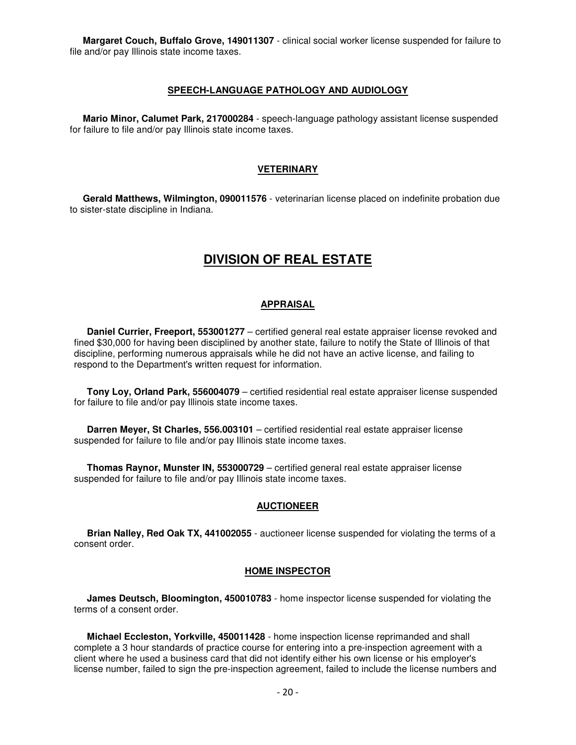**Margaret Couch, Buffalo Grove, 149011307** - clinical social worker license suspended for failure to file and/or pay Illinois state income taxes.

#### **SPEECH-LANGUAGE PATHOLOGY AND AUDIOLOGY**

 **Mario Minor, Calumet Park, 217000284** - speech-language pathology assistant license suspended for failure to file and/or pay Illinois state income taxes.

#### **VETERINARY**

 **Gerald Matthews, Wilmington, 090011576** - veterinarian license placed on indefinite probation due to sister-state discipline in Indiana.

# **DIVISION OF REAL ESTATE**

#### **APPRAISAL**

 **Daniel Currier, Freeport, 553001277** – certified general real estate appraiser license revoked and fined \$30,000 for having been disciplined by another state, failure to notify the State of Illinois of that discipline, performing numerous appraisals while he did not have an active license, and failing to respond to the Department's written request for information.

 **Tony Loy, Orland Park, 556004079** – certified residential real estate appraiser license suspended for failure to file and/or pay Illinois state income taxes.

 **Darren Meyer, St Charles, 556.003101** – certified residential real estate appraiser license suspended for failure to file and/or pay Illinois state income taxes.

 **Thomas Raynor, Munster IN, 553000729** – certified general real estate appraiser license suspended for failure to file and/or pay Illinois state income taxes.

#### **AUCTIONEER**

 **Brian Nalley, Red Oak TX, 441002055** - auctioneer license suspended for violating the terms of a consent order.

#### **HOME INSPECTOR**

 **James Deutsch, Bloomington, 450010783** - home inspector license suspended for violating the terms of a consent order.

 **Michael Eccleston, Yorkville, 450011428** - home inspection license reprimanded and shall complete a 3 hour standards of practice course for entering into a pre-inspection agreement with a client where he used a business card that did not identify either his own license or his employer's license number, failed to sign the pre-inspection agreement, failed to include the license numbers and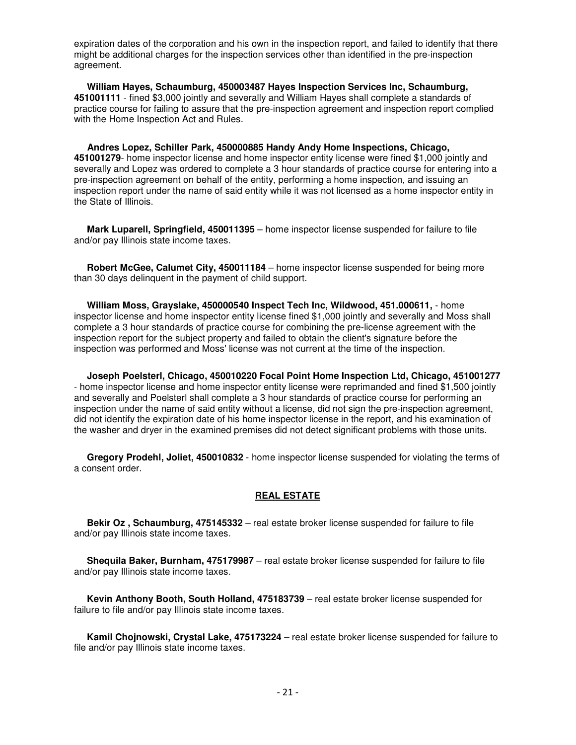expiration dates of the corporation and his own in the inspection report, and failed to identify that there might be additional charges for the inspection services other than identified in the pre-inspection agreement.

 **William Hayes, Schaumburg, 450003487 Hayes Inspection Services Inc, Schaumburg, 451001111** - fined \$3,000 jointly and severally and William Hayes shall complete a standards of practice course for failing to assure that the pre-inspection agreement and inspection report complied with the Home Inspection Act and Rules.

 **Andres Lopez, Schiller Park, 450000885 Handy Andy Home Inspections, Chicago, 451001279**- home inspector license and home inspector entity license were fined \$1,000 jointly and severally and Lopez was ordered to complete a 3 hour standards of practice course for entering into a pre-inspection agreement on behalf of the entity, performing a home inspection, and issuing an inspection report under the name of said entity while it was not licensed as a home inspector entity in the State of Illinois.

 **Mark Luparell, Springfield, 450011395** – home inspector license suspended for failure to file and/or pay Illinois state income taxes.

 **Robert McGee, Calumet City, 450011184** – home inspector license suspended for being more than 30 days delinquent in the payment of child support.

 **William Moss, Grayslake, 450000540 Inspect Tech Inc, Wildwood, 451.000611,** - home inspector license and home inspector entity license fined \$1,000 jointly and severally and Moss shall complete a 3 hour standards of practice course for combining the pre-license agreement with the inspection report for the subject property and failed to obtain the client's signature before the inspection was performed and Moss' license was not current at the time of the inspection.

 **Joseph Poelsterl, Chicago, 450010220 Focal Point Home Inspection Ltd, Chicago, 451001277** - home inspector license and home inspector entity license were reprimanded and fined \$1,500 jointly and severally and Poelsterl shall complete a 3 hour standards of practice course for performing an inspection under the name of said entity without a license, did not sign the pre-inspection agreement, did not identify the expiration date of his home inspector license in the report, and his examination of the washer and dryer in the examined premises did not detect significant problems with those units.

 **Gregory Prodehl, Joliet, 450010832** - home inspector license suspended for violating the terms of a consent order.

#### **REAL ESTATE**

 **Bekir Oz , Schaumburg, 475145332** – real estate broker license suspended for failure to file and/or pay Illinois state income taxes.

 **Shequila Baker, Burnham, 475179987** – real estate broker license suspended for failure to file and/or pay Illinois state income taxes.

 **Kevin Anthony Booth, South Holland, 475183739** – real estate broker license suspended for failure to file and/or pay Illinois state income taxes.

 **Kamil Chojnowski, Crystal Lake, 475173224** – real estate broker license suspended for failure to file and/or pay Illinois state income taxes.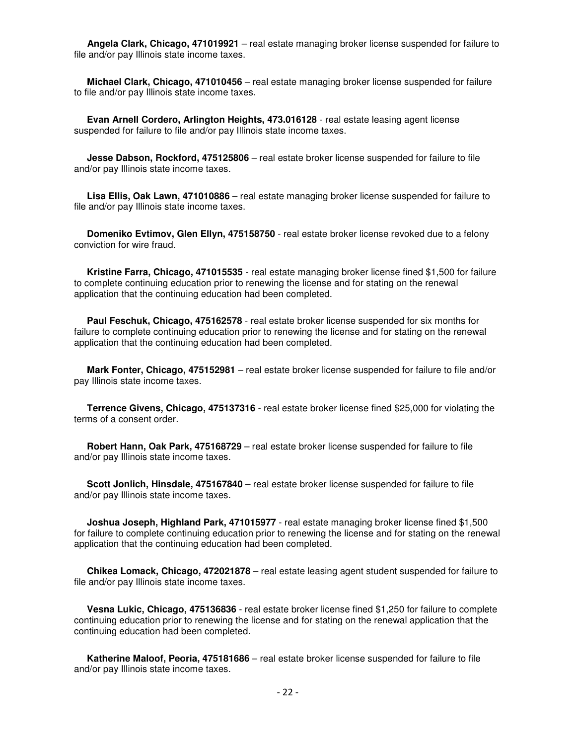**Angela Clark, Chicago, 471019921** – real estate managing broker license suspended for failure to file and/or pay Illinois state income taxes.

 **Michael Clark, Chicago, 471010456** – real estate managing broker license suspended for failure to file and/or pay Illinois state income taxes.

 **Evan Arnell Cordero, Arlington Heights, 473.016128** - real estate leasing agent license suspended for failure to file and/or pay Illinois state income taxes.

 **Jesse Dabson, Rockford, 475125806** – real estate broker license suspended for failure to file and/or pay Illinois state income taxes.

 **Lisa Ellis, Oak Lawn, 471010886** – real estate managing broker license suspended for failure to file and/or pay Illinois state income taxes.

 **Domeniko Evtimov, Glen Ellyn, 475158750** - real estate broker license revoked due to a felony conviction for wire fraud.

 **Kristine Farra, Chicago, 471015535** - real estate managing broker license fined \$1,500 for failure to complete continuing education prior to renewing the license and for stating on the renewal application that the continuing education had been completed.

 **Paul Feschuk, Chicago, 475162578** - real estate broker license suspended for six months for failure to complete continuing education prior to renewing the license and for stating on the renewal application that the continuing education had been completed.

 **Mark Fonter, Chicago, 475152981** – real estate broker license suspended for failure to file and/or pay Illinois state income taxes.

 **Terrence Givens, Chicago, 475137316** - real estate broker license fined \$25,000 for violating the terms of a consent order.

 **Robert Hann, Oak Park, 475168729** – real estate broker license suspended for failure to file and/or pay Illinois state income taxes.

 **Scott Jonlich, Hinsdale, 475167840** – real estate broker license suspended for failure to file and/or pay Illinois state income taxes.

 **Joshua Joseph, Highland Park, 471015977** - real estate managing broker license fined \$1,500 for failure to complete continuing education prior to renewing the license and for stating on the renewal application that the continuing education had been completed.

 **Chikea Lomack, Chicago, 472021878** – real estate leasing agent student suspended for failure to file and/or pay Illinois state income taxes.

 **Vesna Lukic, Chicago, 475136836** - real estate broker license fined \$1,250 for failure to complete continuing education prior to renewing the license and for stating on the renewal application that the continuing education had been completed.

 **Katherine Maloof, Peoria, 475181686** – real estate broker license suspended for failure to file and/or pay Illinois state income taxes.